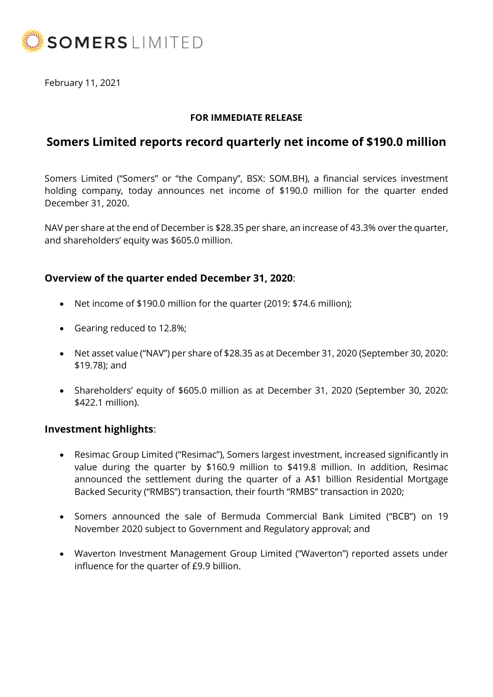

February 11, 2021

## **FOR IMMEDIATE RELEASE**

# **Somers Limited reports record quarterly net income of \$190.0 million**

Somers Limited ("Somers" or "the Company", BSX: SOM.BH), a financial services investment holding company, today announces net income of \$190.0 million for the quarter ended December 31, 2020.

NAV per share at the end of December is \$28.35 per share, an increase of 43.3% over the quarter, and shareholders' equity was \$605.0 million.

## **Overview of the quarter ended December 31, 2020**:

- Net income of \$190.0 million for the quarter (2019: \$74.6 million);
- Gearing reduced to 12.8%;
- Net asset value ("NAV") per share of \$28.35 as at December 31, 2020 (September 30, 2020: \$19.78); and
- Shareholders' equity of \$605.0 million as at December 31, 2020 (September 30, 2020: \$422.1 million).

#### **Investment highlights**:

- Resimac Group Limited ("Resimac"), Somers largest investment, increased significantly in value during the quarter by \$160.9 million to \$419.8 million. In addition, Resimac announced the settlement during the quarter of a A\$1 billion Residential Mortgage Backed Security ("RMBS") transaction, their fourth "RMBS" transaction in 2020;
- Somers announced the sale of Bermuda Commercial Bank Limited ("BCB") on 19 November 2020 subject to Government and Regulatory approval; and
- Waverton Investment Management Group Limited ("Waverton") reported assets under influence for the quarter of £9.9 billion.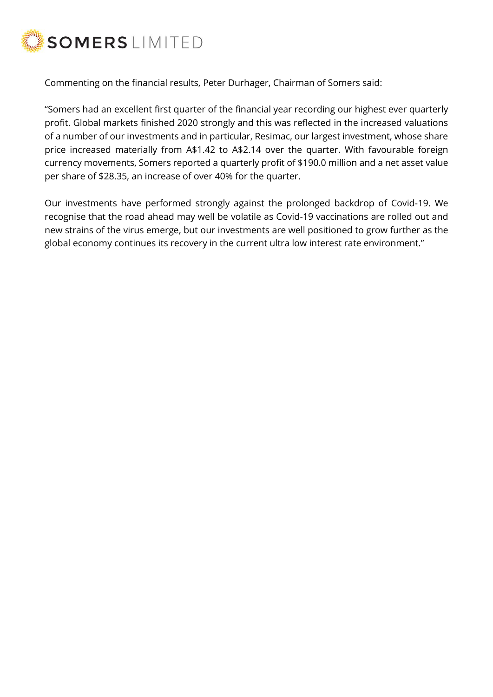

Commenting on the financial results, Peter Durhager, Chairman of Somers said:

"Somers had an excellent first quarter of the financial year recording our highest ever quarterly profit. Global markets finished 2020 strongly and this was reflected in the increased valuations of a number of our investments and in particular, Resimac, our largest investment, whose share price increased materially from A\$1.42 to A\$2.14 over the quarter. With favourable foreign currency movements, Somers reported a quarterly profit of \$190.0 million and a net asset value per share of \$28.35, an increase of over 40% for the quarter.

Our investments have performed strongly against the prolonged backdrop of Covid-19. We recognise that the road ahead may well be volatile as Covid-19 vaccinations are rolled out and new strains of the virus emerge, but our investments are well positioned to grow further as the global economy continues its recovery in the current ultra low interest rate environment."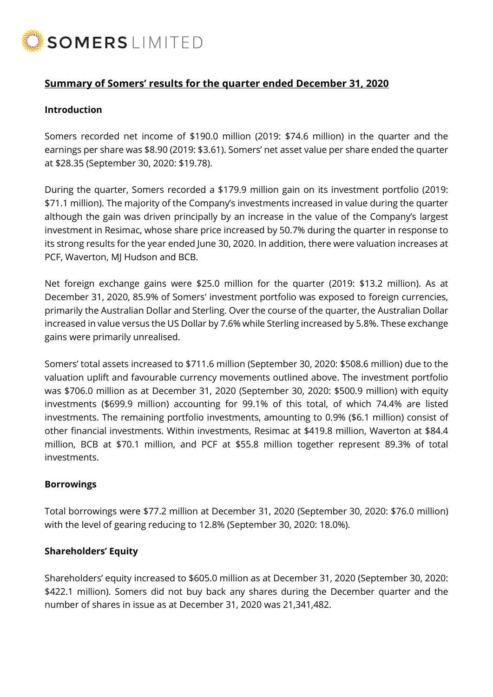

# **Summary of Somers' results for the quarter ended December 31, 2020**

### **Introduction**

Somers recorded net income of \$190.0 million (2019: \$74.6 million) in the quarter and the earnings per share was \$8.90 (2019: \$3.61). Somers' net asset value per share ended the quarter at \$28.35 (September 30, 2020: \$19.78).

During the quarter, Somers recorded a \$179.9 million gain on its investment portfolio (2019: \$71.1 million). The majority of the Company's investments increased in value during the quarter although the gain was driven principally by an increase in the value of the Company's largest investment in Resimac, whose share price increased by 50.7% during the quarter in response to its strong results for the year ended June 30, 2020. In addition, there were valuation increases at PCF, Waverton, MJ Hudson and BCB.

Net foreign exchange gains were \$25.0 million for the quarter (2019: \$13.2 million). As at December 31, 2020, 85.9% of Somers' investment portfolio was exposed to foreign currencies, primarily the Australian Dollar and Sterling. Over the course of the quarter, the Australian Dollar increased in value versus the US Dollar by 7.6% while Sterling increased by 5.8%. These exchange gains were primarily unrealised.

Somers' total assets increased to \$711.6 million (September 30, 2020: \$508.6 million) due to the valuation uplift and favourable currency movements outlined above. The investment portfolio was \$706.0 million as at December 31, 2020 (September 30, 2020: \$500.9 million) with equity investments (\$699.9 million) accounting for 99.1% of this total, of which 74.4% are listed investments. The remaining portfolio investments, amounting to 0.9% (\$6.1 million) consist of other financial investments. Within investments, Resimac at \$419.8 million, Waverton at \$84.4 million, BCB at \$70.1 million, and PCF at \$55.8 million together represent 89.3% of total investments.

#### **Borrowings**

Total borrowings were \$77.2 million at December 31, 2020 (September 30, 2020: \$76.0 million) with the level of gearing reducing to 12.8% (September 30, 2020: 18.0%).

#### **Shareholders' Equity**

Shareholders' equity increased to \$605.0 million as at December 31, 2020 (September 30, 2020: \$422.1 million). Somers did not buy back any shares during the December quarter and the number of shares in issue as at December 31, 2020 was 21,341,482.